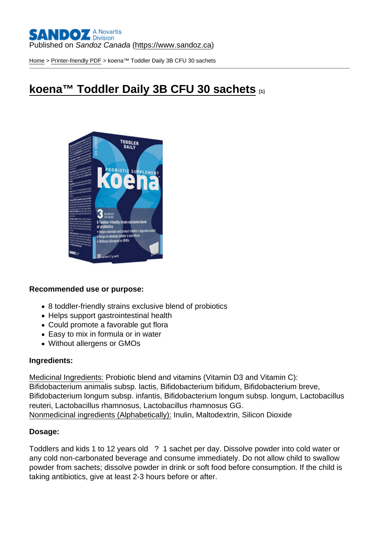#### Published on Sandoz Canada [\(https://www.sandoz.ca](https://www.sandoz.ca))

[Home](https://www.sandoz.ca/en) > [Printer-friendly PDF](https://www.sandoz.ca/en/printpdf) > koena™ Toddler Daily 3B CFU 30 sachets

# [koena™ Toddler Daily 3B CFU 30 sachets](https://www.sandoz.ca/en/koena-toddler-daily-3b-cfu-30-sachets) [1]

Recommended use or purpose:

- 8 toddler-friendly strains exclusive blend of probiotics
- Helps support gastrointestinal health
- Could promote a favorable gut flora
- Easy to mix in formula or in water
- Without allergens or GMOs

#### Ingredients:

Medicinal Ingredients: Probiotic blend and vitamins (Vitamin D3 and Vitamin C): Bifidobacterium animalis subsp. lactis, Bifidobacterium bifidum, Bifidobacterium breve, Bifidobacterium longum subsp. infantis, Bifidobacterium longum subsp. longum, Lactobacillus reuteri, Lactobacillus rhamnosus, Lactobacillus rhamnosus GG. Nonmedicinal ingredients (Alphabetically): Inulin, Maltodextrin, Silicon Dioxide

#### Dosage:

Toddlers and kids 1 to 12 years old ? 1 sachet per day. Dissolve powder into cold water or any cold non-carbonated beverage and consume immediately. Do not allow child to swallow powder from sachets; dissolve powder in drink or soft food before consumption. If the child is taking antibiotics, give at least 2-3 hours before or after.